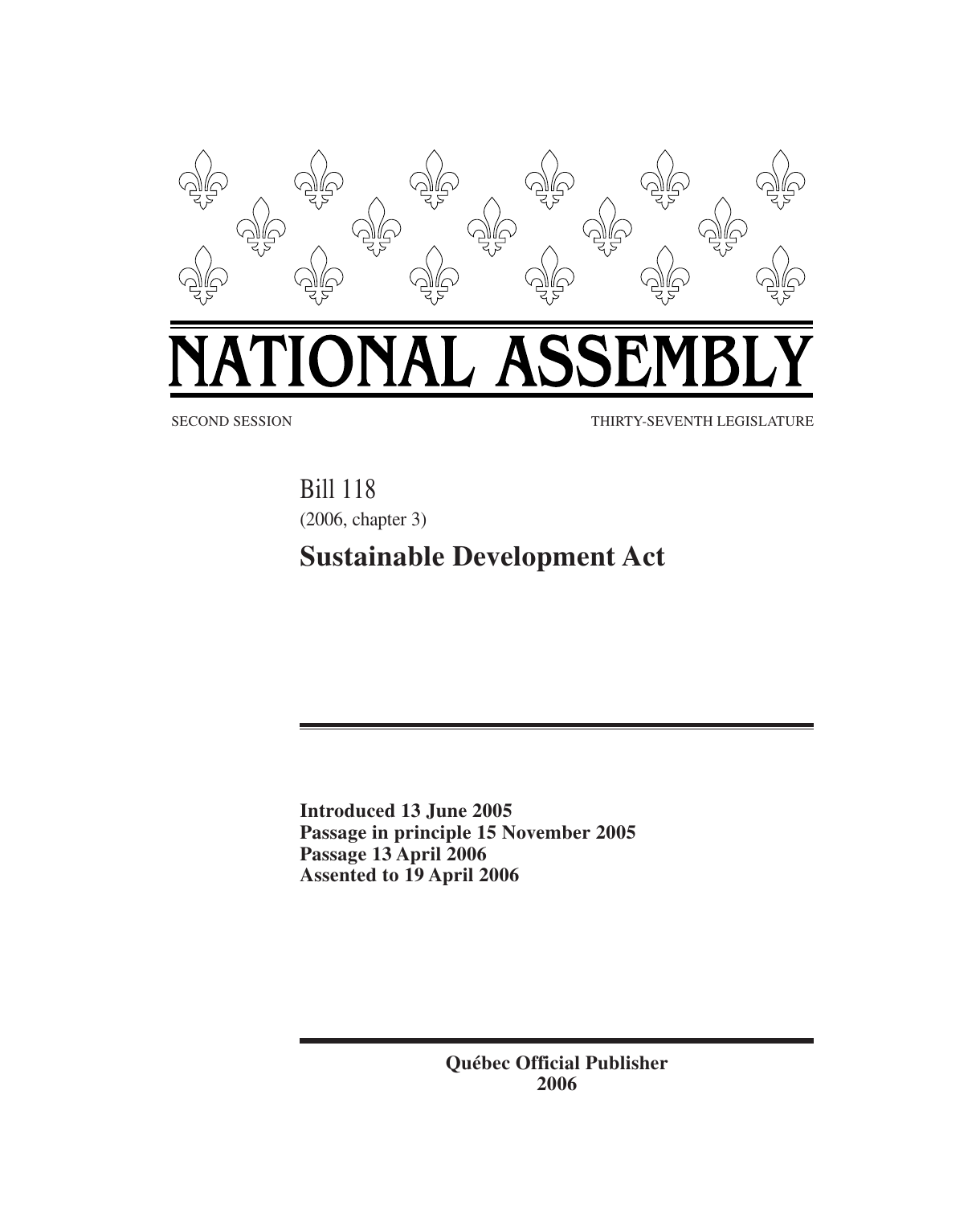

# AL ASSI

SECOND SESSION THIRTY-SEVENTH LEGISLATURE

Bill 118 (2006, chapter 3)

# **Sustainable Development Act**

**Introduced 13 June 2005 Passage in principle 15 November 2005 Passage 13 April 2006 Assented to 19 April 2006**

> **Québec Official Publisher 2006**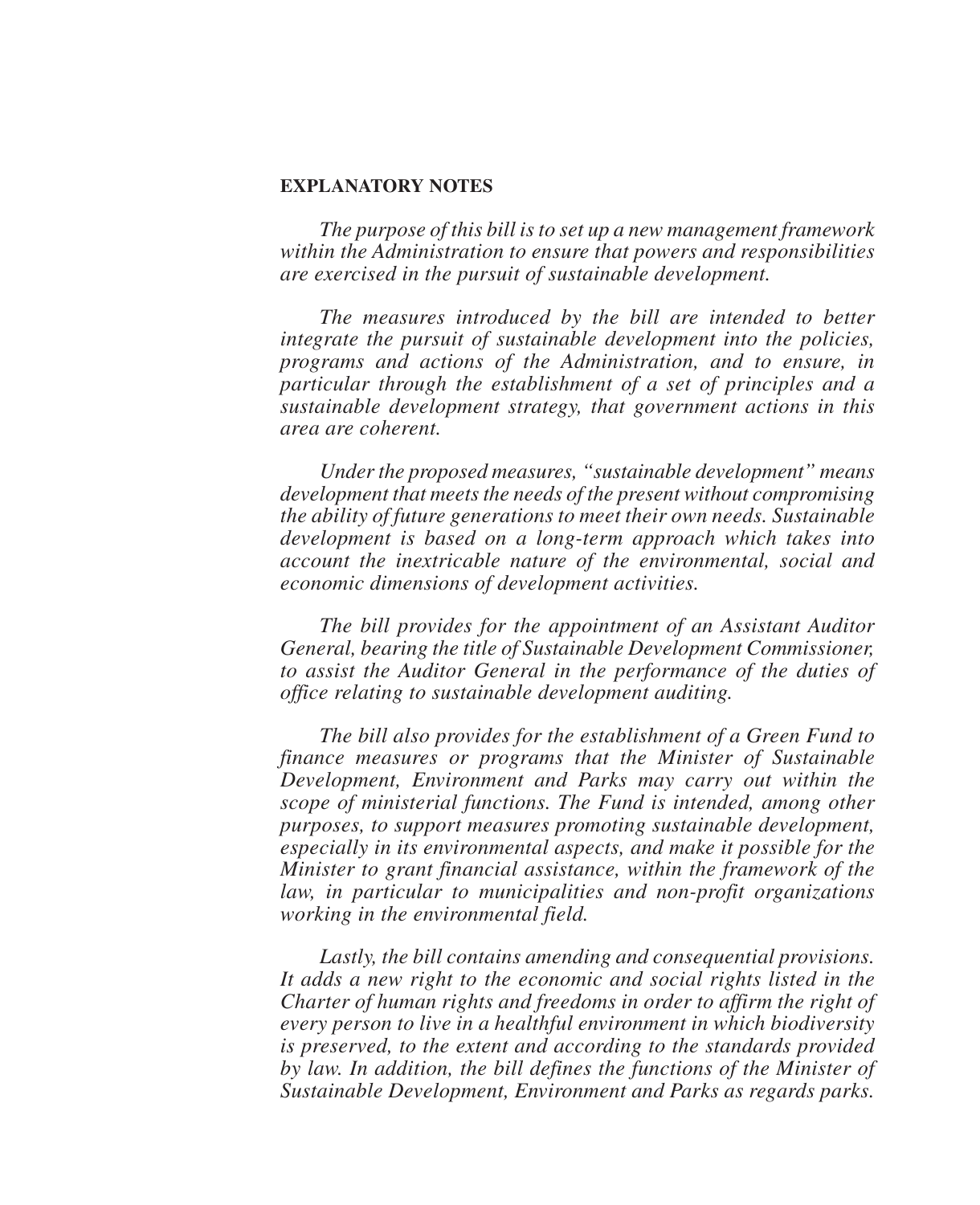# **EXPLANATORY NOTES**

*The purpose of this bill is to set up a new management framework within the Administration to ensure that powers and responsibilities are exercised in the pursuit of sustainable development.*

*The measures introduced by the bill are intended to better integrate the pursuit of sustainable development into the policies, programs and actions of the Administration, and to ensure, in particular through the establishment of a set of principles and a sustainable development strategy, that government actions in this area are coherent.*

*Under the proposed measures, "sustainable development" means development that meets the needs of the present without compromising the ability of future generations to meet their own needs. Sustainable development is based on a long-term approach which takes into account the inextricable nature of the environmental, social and economic dimensions of development activities.*

*The bill provides for the appointment of an Assistant Auditor General, bearing the title of Sustainable Development Commissioner, to assist the Auditor General in the performance of the duties of office relating to sustainable development auditing.*

*The bill also provides for the establishment of a Green Fund to finance measures or programs that the Minister of Sustainable Development, Environment and Parks may carry out within the scope of ministerial functions. The Fund is intended, among other purposes, to support measures promoting sustainable development, especially in its environmental aspects, and make it possible for the Minister to grant financial assistance, within the framework of the law, in particular to municipalities and non-profit organizations working in the environmental field.*

*Lastly, the bill contains amending and consequential provisions. It adds a new right to the economic and social rights listed in the Charter of human rights and freedoms in order to affirm the right of every person to live in a healthful environment in which biodiversity is preserved, to the extent and according to the standards provided by law. In addition, the bill defines the functions of the Minister of Sustainable Development, Environment and Parks as regards parks.*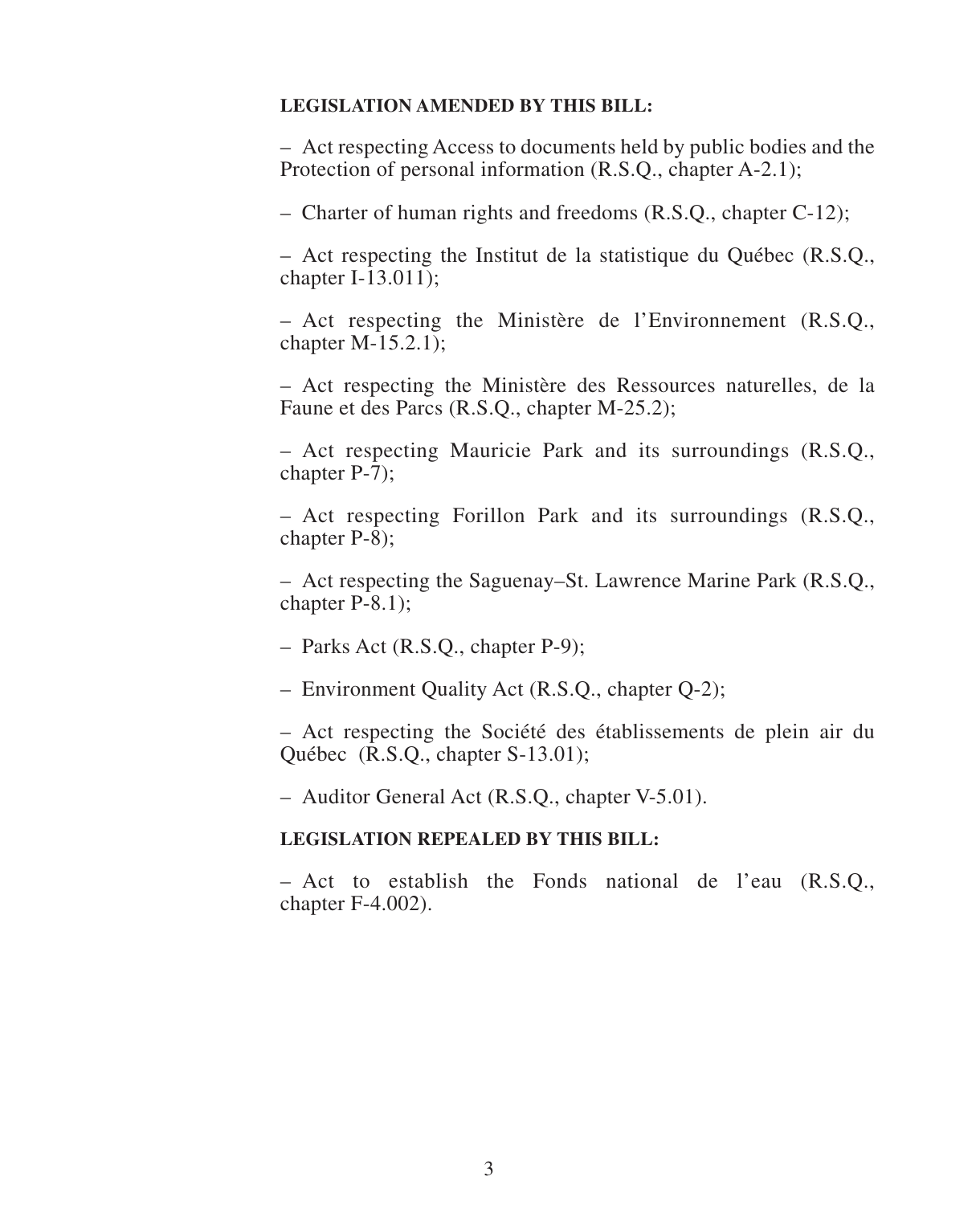## **LEGISLATION AMENDED BY THIS BILL:**

– Act respecting Access to documents held by public bodies and the Protection of personal information (R.S.Q., chapter A-2.1);

– Charter of human rights and freedoms (R.S.Q., chapter C-12);

– Act respecting the Institut de la statistique du Québec (R.S.Q., chapter I- $\overline{13.011}$ ;

– Act respecting the Ministère de l'Environnement (R.S.Q., chapter M-15.2.1);

– Act respecting the Ministère des Ressources naturelles, de la Faune et des Parcs (R.S.Q., chapter M-25.2);

– Act respecting Mauricie Park and its surroundings (R.S.Q., chapter P-7);

– Act respecting Forillon Park and its surroundings (R.S.Q., chapter P-8);

– Act respecting the Saguenay–St. Lawrence Marine Park (R.S.Q., chapter P-8.1);

– Parks Act (R.S.Q., chapter P-9);

– Environment Quality Act (R.S.Q., chapter Q-2);

– Act respecting the Société des établissements de plein air du Québec (R.S.Q., chapter S-13.01);

– Auditor General Act (R.S.Q., chapter V-5.01).

# **LEGISLATION REPEALED BY THIS BILL:**

– Act to establish the Fonds national de l'eau (R.S.Q., chapter F-4.002).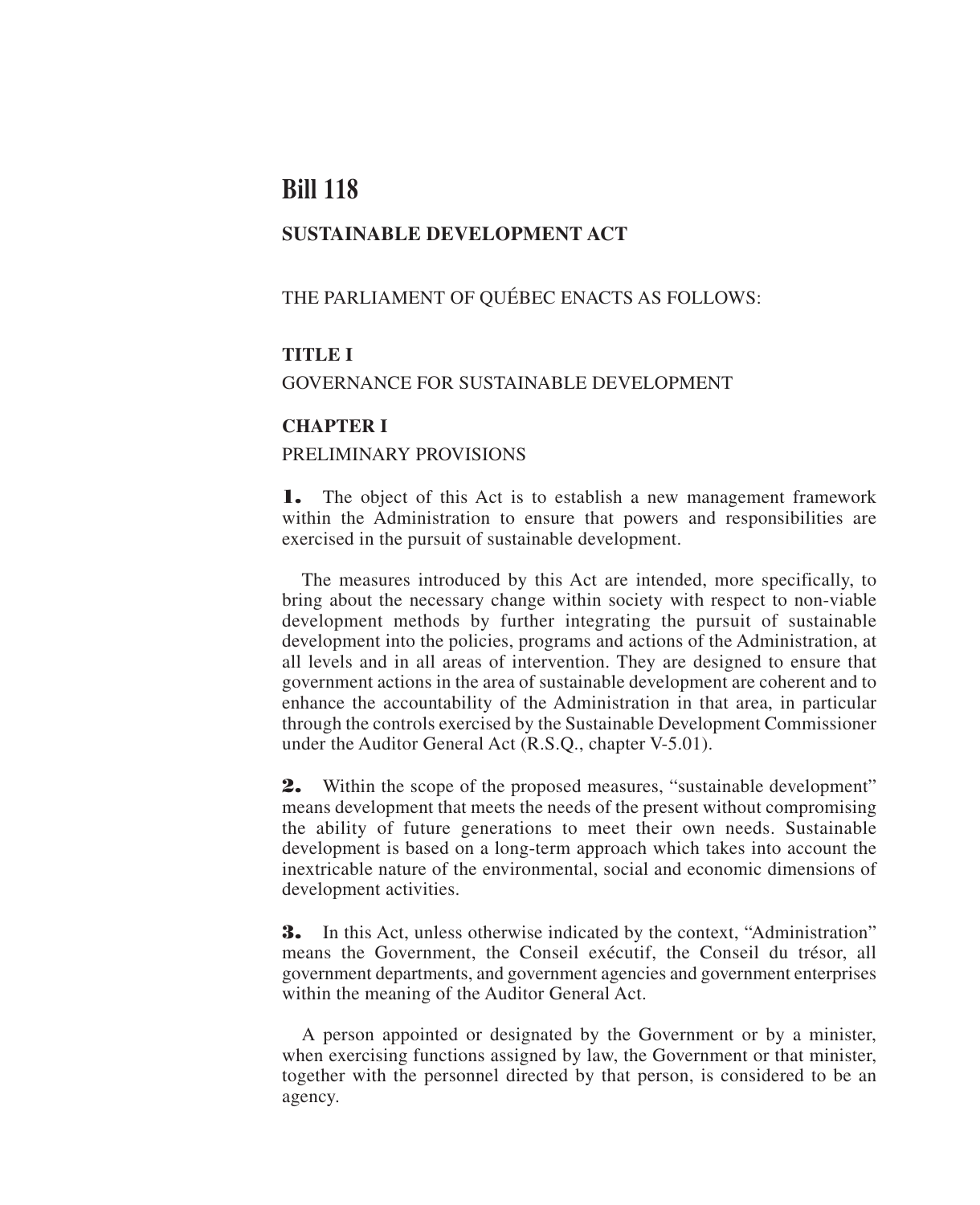# **Bill 118**

#### **SUSTAINABLE DEVELOPMENT ACT**

## THE PARLIAMENT OF QUÉBEC ENACTS AS FOLLOWS:

#### **TITLE I**

#### GOVERNANCE FOR SUSTAINABLE DEVELOPMENT

# **CHAPTER I** PRELIMINARY PROVISIONS

**1.** The object of this Act is to establish a new management framework within the Administration to ensure that powers and responsibilities are exercised in the pursuit of sustainable development.

The measures introduced by this Act are intended, more specifically, to bring about the necessary change within society with respect to non-viable development methods by further integrating the pursuit of sustainable development into the policies, programs and actions of the Administration, at all levels and in all areas of intervention. They are designed to ensure that government actions in the area of sustainable development are coherent and to enhance the accountability of the Administration in that area, in particular through the controls exercised by the Sustainable Development Commissioner under the Auditor General Act (R.S.Q., chapter V-5.01).

**2.** Within the scope of the proposed measures, "sustainable development" means development that meets the needs of the present without compromising the ability of future generations to meet their own needs. Sustainable development is based on a long-term approach which takes into account the inextricable nature of the environmental, social and economic dimensions of development activities.

**3.** In this Act, unless otherwise indicated by the context, "Administration" means the Government, the Conseil exécutif, the Conseil du trésor, all government departments, and government agencies and government enterprises within the meaning of the Auditor General Act.

A person appointed or designated by the Government or by a minister, when exercising functions assigned by law, the Government or that minister, together with the personnel directed by that person, is considered to be an agency.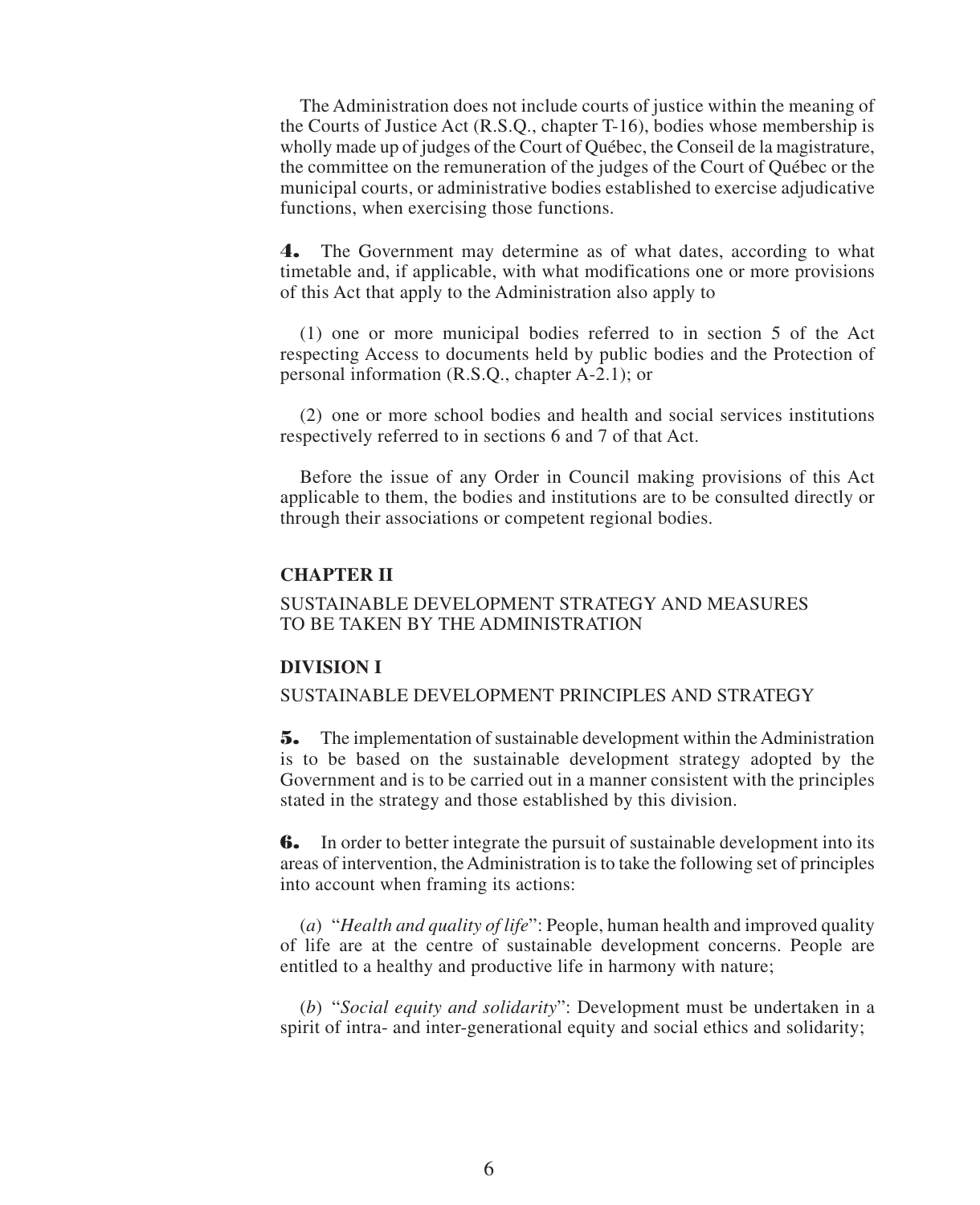The Administration does not include courts of justice within the meaning of the Courts of Justice Act (R.S.Q., chapter T-16), bodies whose membership is wholly made up of judges of the Court of Québec, the Conseil de la magistrature, the committee on the remuneration of the judges of the Court of Québec or the municipal courts, or administrative bodies established to exercise adjudicative functions, when exercising those functions.

**4.** The Government may determine as of what dates, according to what timetable and, if applicable, with what modifications one or more provisions of this Act that apply to the Administration also apply to

(1) one or more municipal bodies referred to in section 5 of the Act respecting Access to documents held by public bodies and the Protection of personal information (R.S.Q., chapter A-2.1); or

(2) one or more school bodies and health and social services institutions respectively referred to in sections 6 and 7 of that Act.

Before the issue of any Order in Council making provisions of this Act applicable to them, the bodies and institutions are to be consulted directly or through their associations or competent regional bodies.

#### **CHAPTER II**

#### SUSTAINABLE DEVELOPMENT STRATEGY AND MEASURES TO BE TAKEN BY THE ADMINISTRATION

#### **DIVISION I**

#### SUSTAINABLE DEVELOPMENT PRINCIPLES AND STRATEGY

**5.** The implementation of sustainable development within the Administration is to be based on the sustainable development strategy adopted by the Government and is to be carried out in a manner consistent with the principles stated in the strategy and those established by this division.

**6.** In order to better integrate the pursuit of sustainable development into its areas of intervention, the Administration is to take the following set of principles into account when framing its actions:

(*a*) "*Health and quality of life*": People, human health and improved quality of life are at the centre of sustainable development concerns. People are entitled to a healthy and productive life in harmony with nature;

(*b*) "*Social equity and solidarity*": Development must be undertaken in a spirit of intra- and inter-generational equity and social ethics and solidarity;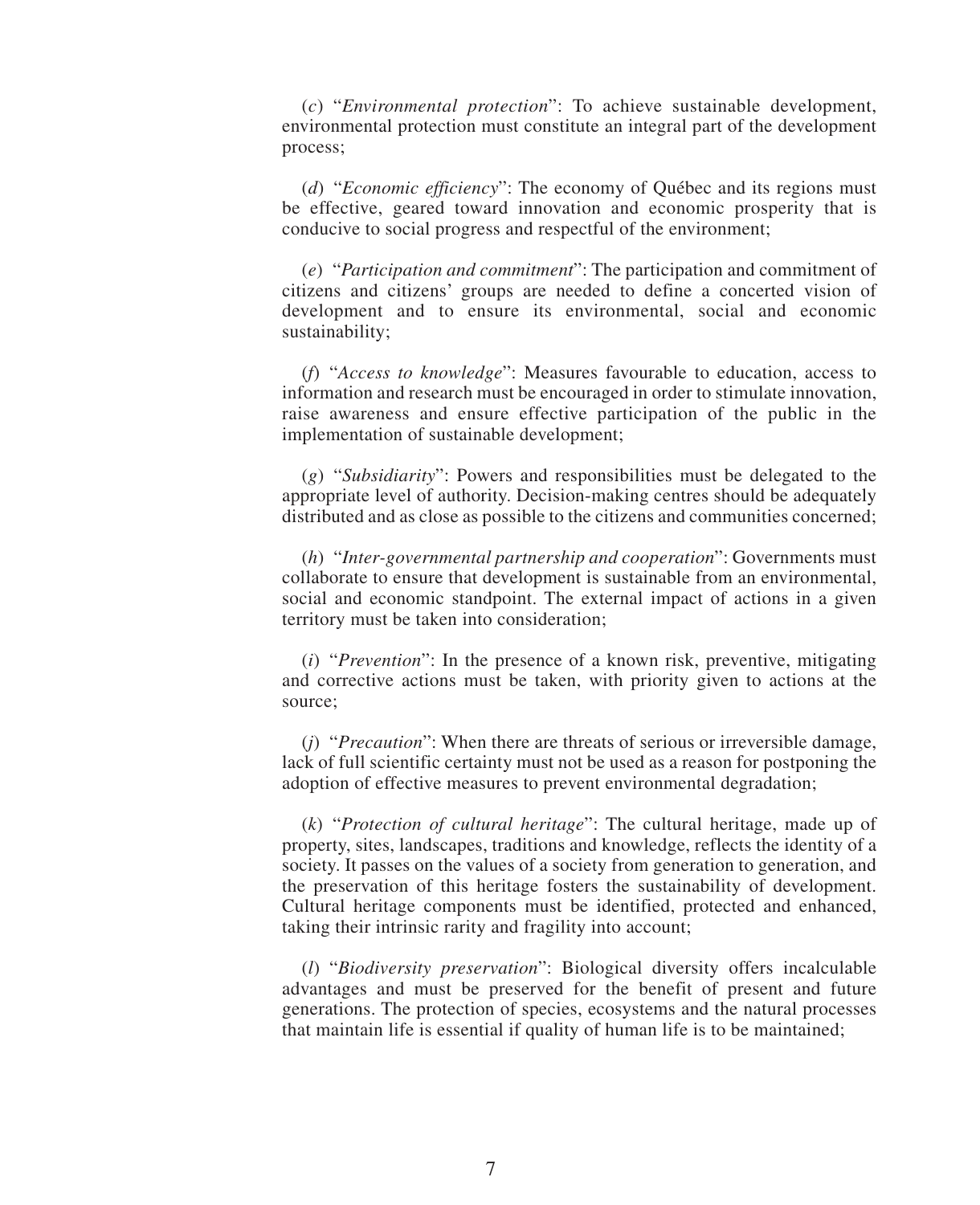(*c*) "*Environmental protection*": To achieve sustainable development, environmental protection must constitute an integral part of the development process;

(*d*) "*Economic efficiency*": The economy of Québec and its regions must be effective, geared toward innovation and economic prosperity that is conducive to social progress and respectful of the environment;

(*e*) "*Participation and commitment*": The participation and commitment of citizens and citizens' groups are needed to define a concerted vision of development and to ensure its environmental, social and economic sustainability;

(*f*) "*Access to knowledge*": Measures favourable to education, access to information and research must be encouraged in order to stimulate innovation, raise awareness and ensure effective participation of the public in the implementation of sustainable development;

(*g*) "*Subsidiarity*": Powers and responsibilities must be delegated to the appropriate level of authority. Decision-making centres should be adequately distributed and as close as possible to the citizens and communities concerned;

(*h*) "*Inter-governmental partnership and cooperation*": Governments must collaborate to ensure that development is sustainable from an environmental, social and economic standpoint. The external impact of actions in a given territory must be taken into consideration;

(*i*) "*Prevention*": In the presence of a known risk, preventive, mitigating and corrective actions must be taken, with priority given to actions at the source;

(*j*) "*Precaution*": When there are threats of serious or irreversible damage, lack of full scientific certainty must not be used as a reason for postponing the adoption of effective measures to prevent environmental degradation;

(*k*) "*Protection of cultural heritage*": The cultural heritage, made up of property, sites, landscapes, traditions and knowledge, reflects the identity of a society. It passes on the values of a society from generation to generation, and the preservation of this heritage fosters the sustainability of development. Cultural heritage components must be identified, protected and enhanced, taking their intrinsic rarity and fragility into account;

(*l*) "*Biodiversity preservation*": Biological diversity offers incalculable advantages and must be preserved for the benefit of present and future generations. The protection of species, ecosystems and the natural processes that maintain life is essential if quality of human life is to be maintained;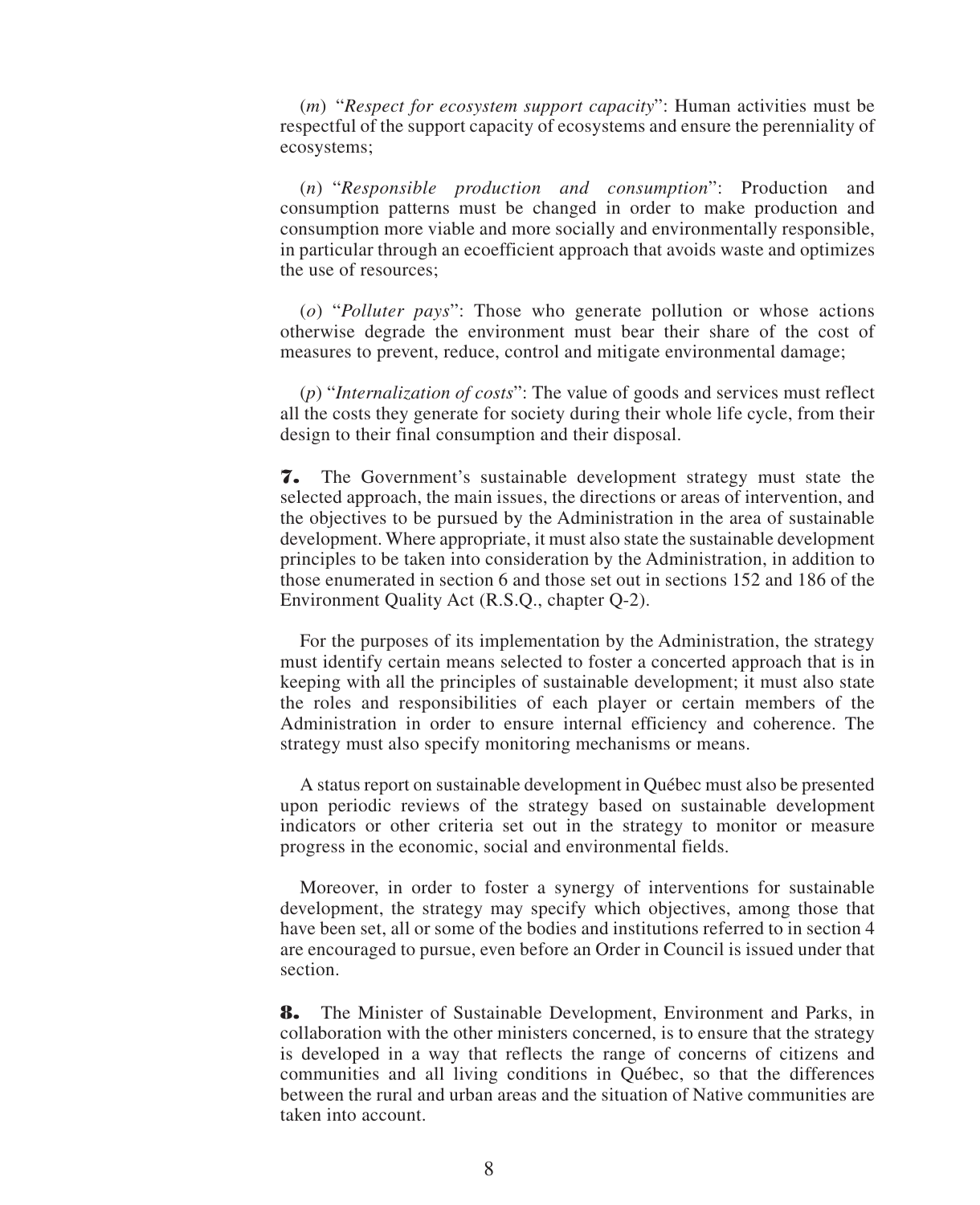(*m*) "*Respect for ecosystem support capacity*": Human activities must be respectful of the support capacity of ecosystems and ensure the perenniality of ecosystems;

(*n*) "*Responsible production and consumption*": Production and consumption patterns must be changed in order to make production and consumption more viable and more socially and environmentally responsible, in particular through an ecoefficient approach that avoids waste and optimizes the use of resources;

(*o*) "*Polluter pays*": Those who generate pollution or whose actions otherwise degrade the environment must bear their share of the cost of measures to prevent, reduce, control and mitigate environmental damage;

(*p*) "*Internalization of costs*": The value of goods and services must reflect all the costs they generate for society during their whole life cycle, from their design to their final consumption and their disposal.

**7.** The Government's sustainable development strategy must state the selected approach, the main issues, the directions or areas of intervention, and the objectives to be pursued by the Administration in the area of sustainable development. Where appropriate, it must also state the sustainable development principles to be taken into consideration by the Administration, in addition to those enumerated in section 6 and those set out in sections 152 and 186 of the Environment Quality Act (R.S.Q., chapter Q-2).

For the purposes of its implementation by the Administration, the strategy must identify certain means selected to foster a concerted approach that is in keeping with all the principles of sustainable development; it must also state the roles and responsibilities of each player or certain members of the Administration in order to ensure internal efficiency and coherence. The strategy must also specify monitoring mechanisms or means.

A status report on sustainable development in Québec must also be presented upon periodic reviews of the strategy based on sustainable development indicators or other criteria set out in the strategy to monitor or measure progress in the economic, social and environmental fields.

Moreover, in order to foster a synergy of interventions for sustainable development, the strategy may specify which objectives, among those that have been set, all or some of the bodies and institutions referred to in section 4 are encouraged to pursue, even before an Order in Council is issued under that section.

**8.** The Minister of Sustainable Development, Environment and Parks, in collaboration with the other ministers concerned, is to ensure that the strategy is developed in a way that reflects the range of concerns of citizens and communities and all living conditions in Québec, so that the differences between the rural and urban areas and the situation of Native communities are taken into account.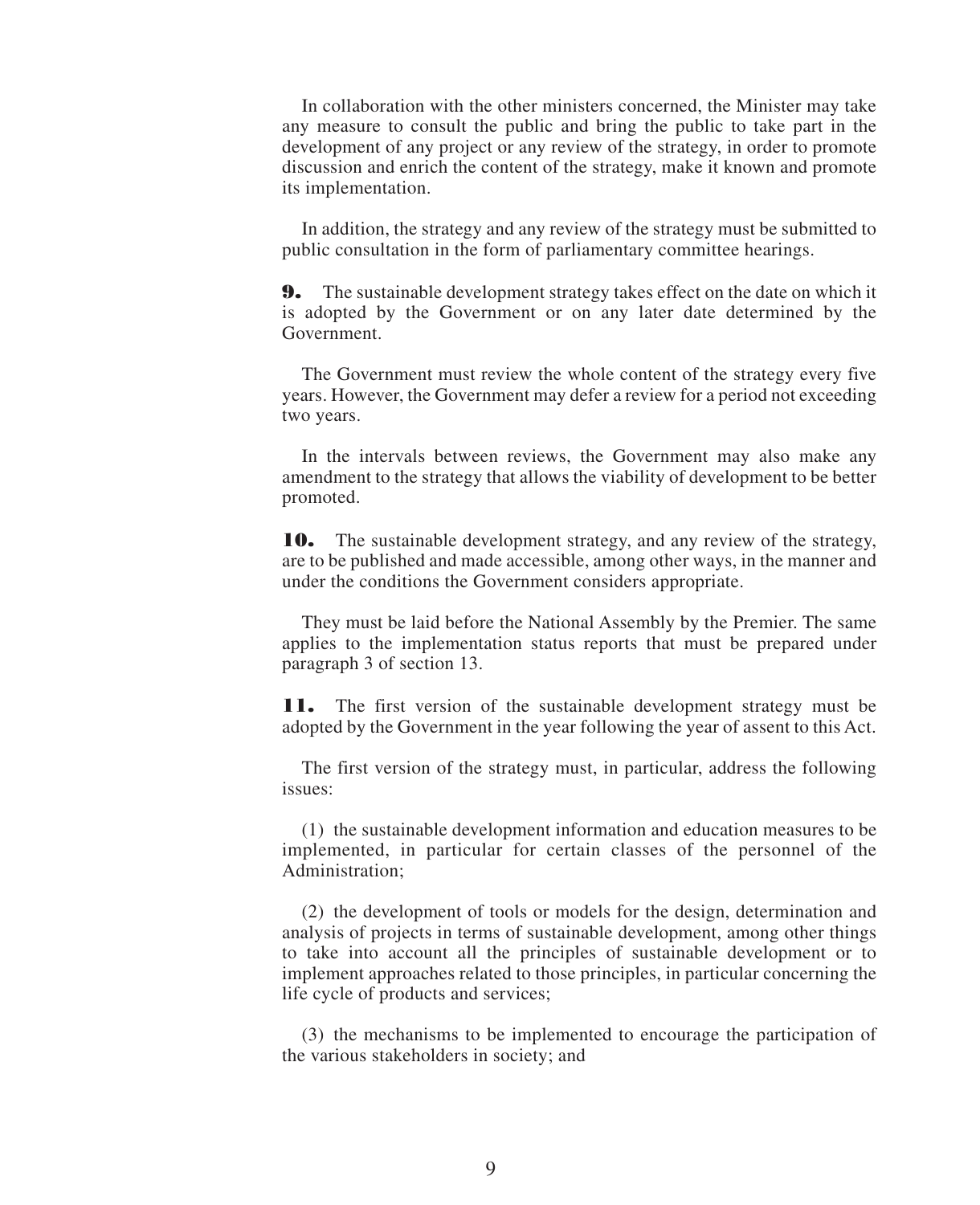In collaboration with the other ministers concerned, the Minister may take any measure to consult the public and bring the public to take part in the development of any project or any review of the strategy, in order to promote discussion and enrich the content of the strategy, make it known and promote its implementation.

In addition, the strategy and any review of the strategy must be submitted to public consultation in the form of parliamentary committee hearings.

**9.** The sustainable development strategy takes effect on the date on which it is adopted by the Government or on any later date determined by the Government.

The Government must review the whole content of the strategy every five years. However, the Government may defer a review for a period not exceeding two years.

In the intervals between reviews, the Government may also make any amendment to the strategy that allows the viability of development to be better promoted.

**10.** The sustainable development strategy, and any review of the strategy, are to be published and made accessible, among other ways, in the manner and under the conditions the Government considers appropriate.

They must be laid before the National Assembly by the Premier. The same applies to the implementation status reports that must be prepared under paragraph 3 of section 13.

**11.** The first version of the sustainable development strategy must be adopted by the Government in the year following the year of assent to this Act.

The first version of the strategy must, in particular, address the following issues:

(1) the sustainable development information and education measures to be implemented, in particular for certain classes of the personnel of the Administration;

(2) the development of tools or models for the design, determination and analysis of projects in terms of sustainable development, among other things to take into account all the principles of sustainable development or to implement approaches related to those principles, in particular concerning the life cycle of products and services;

(3) the mechanisms to be implemented to encourage the participation of the various stakeholders in society; and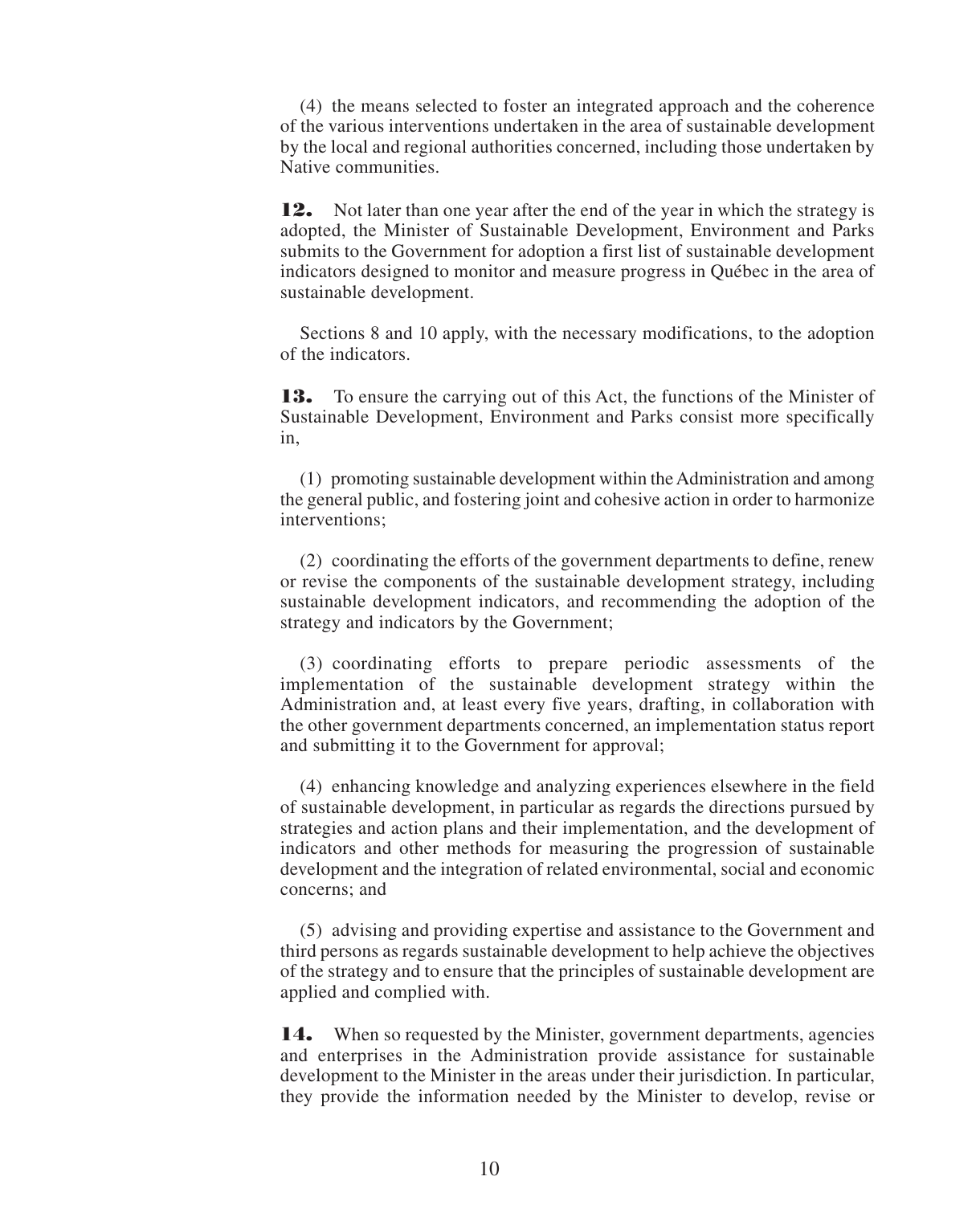(4) the means selected to foster an integrated approach and the coherence of the various interventions undertaken in the area of sustainable development by the local and regional authorities concerned, including those undertaken by Native communities.

**12.** Not later than one year after the end of the year in which the strategy is adopted, the Minister of Sustainable Development, Environment and Parks submits to the Government for adoption a first list of sustainable development indicators designed to monitor and measure progress in Québec in the area of sustainable development.

Sections 8 and 10 apply, with the necessary modifications, to the adoption of the indicators.

**13.** To ensure the carrying out of this Act, the functions of the Minister of Sustainable Development, Environment and Parks consist more specifically in,

(1) promoting sustainable development within the Administration and among the general public, and fostering joint and cohesive action in order to harmonize interventions;

(2) coordinating the efforts of the government departments to define, renew or revise the components of the sustainable development strategy, including sustainable development indicators, and recommending the adoption of the strategy and indicators by the Government;

(3) coordinating efforts to prepare periodic assessments of the implementation of the sustainable development strategy within the Administration and, at least every five years, drafting, in collaboration with the other government departments concerned, an implementation status report and submitting it to the Government for approval;

(4) enhancing knowledge and analyzing experiences elsewhere in the field of sustainable development, in particular as regards the directions pursued by strategies and action plans and their implementation, and the development of indicators and other methods for measuring the progression of sustainable development and the integration of related environmental, social and economic concerns; and

(5) advising and providing expertise and assistance to the Government and third persons as regards sustainable development to help achieve the objectives of the strategy and to ensure that the principles of sustainable development are applied and complied with.

**14.** When so requested by the Minister, government departments, agencies and enterprises in the Administration provide assistance for sustainable development to the Minister in the areas under their jurisdiction. In particular, they provide the information needed by the Minister to develop, revise or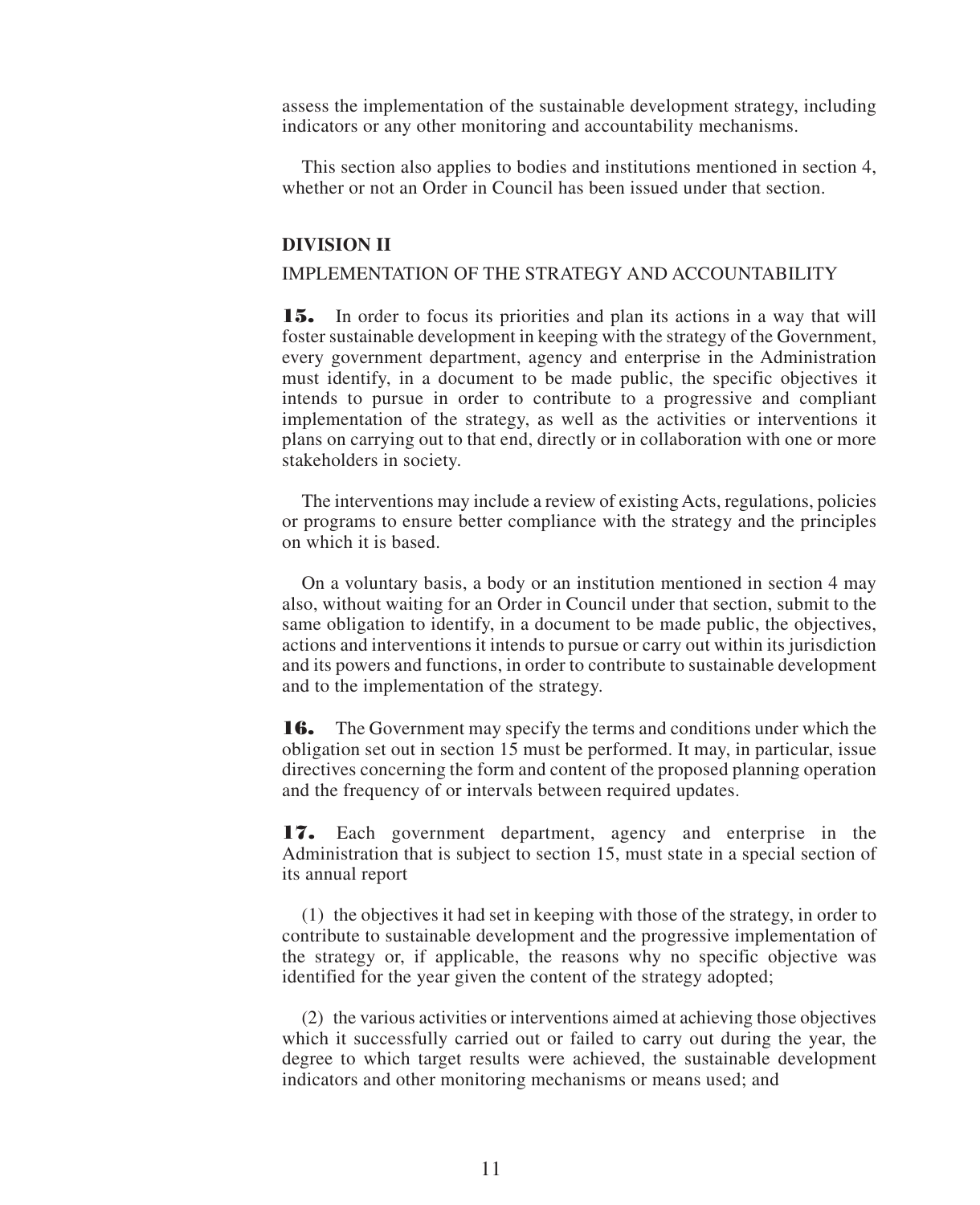assess the implementation of the sustainable development strategy, including indicators or any other monitoring and accountability mechanisms.

This section also applies to bodies and institutions mentioned in section 4, whether or not an Order in Council has been issued under that section.

#### **DIVISION II**

#### IMPLEMENTATION OF THE STRATEGY AND ACCOUNTABILITY

**15.** In order to focus its priorities and plan its actions in a way that will foster sustainable development in keeping with the strategy of the Government, every government department, agency and enterprise in the Administration must identify, in a document to be made public, the specific objectives it intends to pursue in order to contribute to a progressive and compliant implementation of the strategy, as well as the activities or interventions it plans on carrying out to that end, directly or in collaboration with one or more stakeholders in society.

The interventions may include a review of existing Acts, regulations, policies or programs to ensure better compliance with the strategy and the principles on which it is based.

On a voluntary basis, a body or an institution mentioned in section 4 may also, without waiting for an Order in Council under that section, submit to the same obligation to identify, in a document to be made public, the objectives, actions and interventions it intends to pursue or carry out within its jurisdiction and its powers and functions, in order to contribute to sustainable development and to the implementation of the strategy.

**16.** The Government may specify the terms and conditions under which the obligation set out in section 15 must be performed. It may, in particular, issue directives concerning the form and content of the proposed planning operation and the frequency of or intervals between required updates.

**17.** Each government department, agency and enterprise in the Administration that is subject to section 15, must state in a special section of its annual report

(1) the objectives it had set in keeping with those of the strategy, in order to contribute to sustainable development and the progressive implementation of the strategy or, if applicable, the reasons why no specific objective was identified for the year given the content of the strategy adopted;

(2) the various activities or interventions aimed at achieving those objectives which it successfully carried out or failed to carry out during the year, the degree to which target results were achieved, the sustainable development indicators and other monitoring mechanisms or means used; and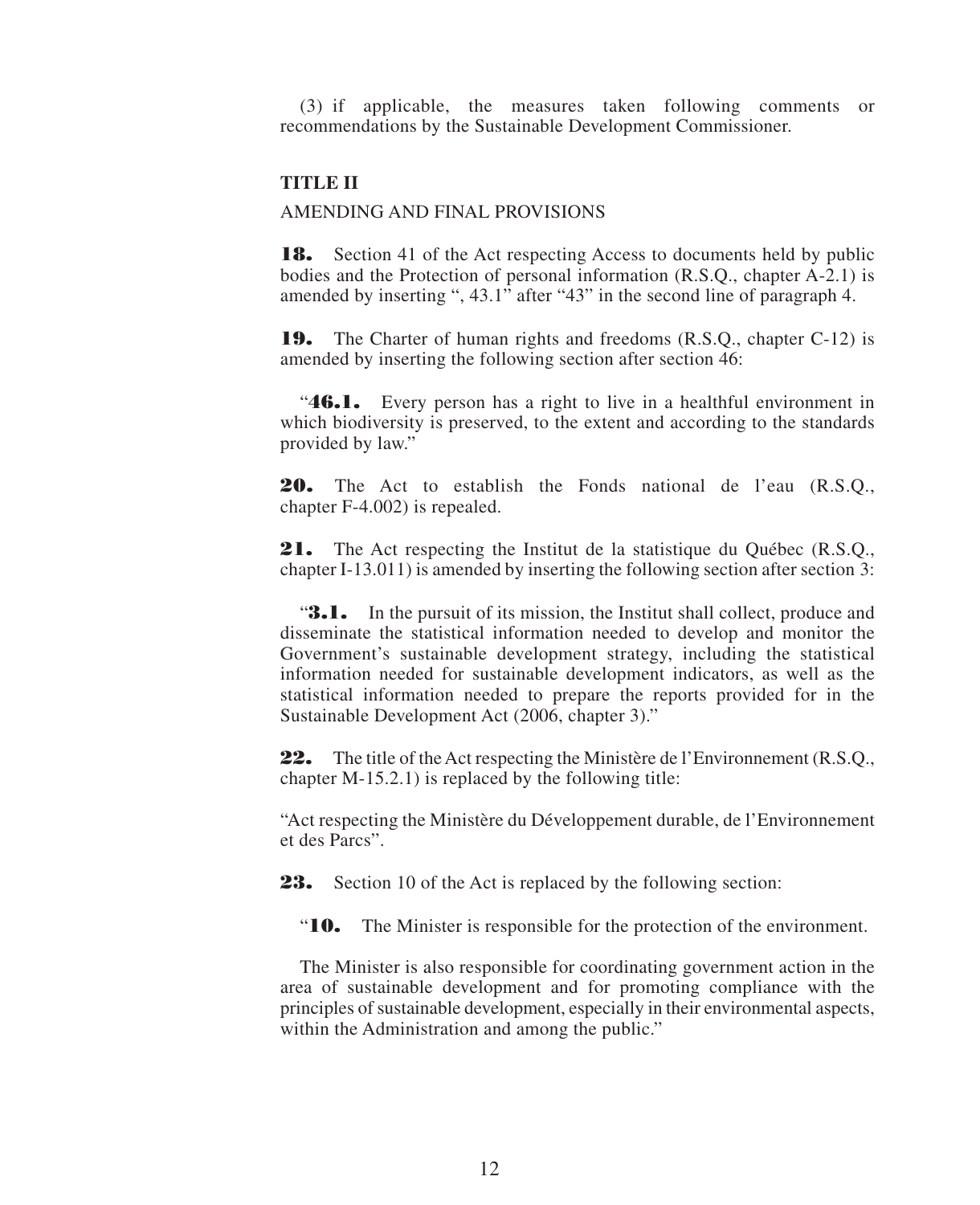(3) if applicable, the measures taken following comments or recommendations by the Sustainable Development Commissioner.

#### **TITLE II**

#### AMENDING AND FINAL PROVISIONS

**18.** Section 41 of the Act respecting Access to documents held by public bodies and the Protection of personal information (R.S.Q., chapter A-2.1) is amended by inserting ", 43.1" after "43" in the second line of paragraph 4.

**19.** The Charter of human rights and freedoms (R.S.Q., chapter C-12) is amended by inserting the following section after section 46:

"**46.1.** Every person has a right to live in a healthful environment in which biodiversity is preserved, to the extent and according to the standards provided by law."

**20.** The Act to establish the Fonds national de l'eau (R.S.Q., chapter F-4.002) is repealed.

**21.** The Act respecting the Institut de la statistique du Québec (R.S.Q., chapter I-13.011) is amended by inserting the following section after section 3:

"**3.1.** In the pursuit of its mission, the Institut shall collect, produce and disseminate the statistical information needed to develop and monitor the Government's sustainable development strategy, including the statistical information needed for sustainable development indicators, as well as the statistical information needed to prepare the reports provided for in the Sustainable Development Act (2006, chapter 3)."

**22.** The title of the Act respecting the Ministère de l'Environnement (R.S.Q., chapter M-15.2.1) is replaced by the following title:

"Act respecting the Ministère du Développement durable, de l'Environnement et des Parcs".

**23.** Section 10 of the Act is replaced by the following section:

"**10.** The Minister is responsible for the protection of the environment.

The Minister is also responsible for coordinating government action in the area of sustainable development and for promoting compliance with the principles of sustainable development, especially in their environmental aspects, within the Administration and among the public."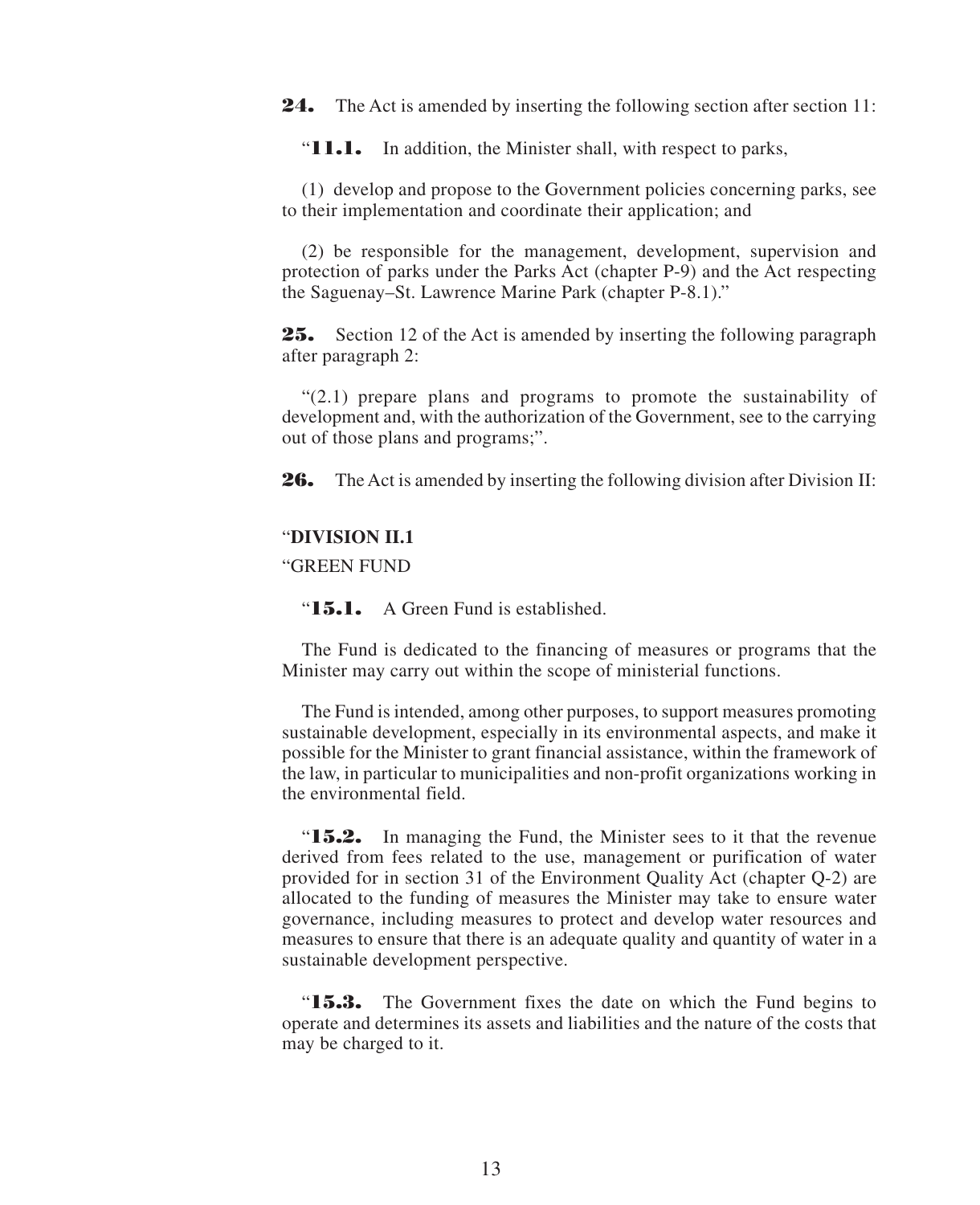**24.** The Act is amended by inserting the following section after section 11:

"**11.1.** In addition, the Minister shall, with respect to parks,

(1) develop and propose to the Government policies concerning parks, see to their implementation and coordinate their application; and

(2) be responsible for the management, development, supervision and protection of parks under the Parks Act (chapter P-9) and the Act respecting the Saguenay–St. Lawrence Marine Park (chapter P-8.1)."

**25.** Section 12 of the Act is amended by inserting the following paragraph after paragraph 2:

 $(2.1)$  prepare plans and programs to promote the sustainability of development and, with the authorization of the Government, see to the carrying out of those plans and programs;".

**26.** The Act is amended by inserting the following division after Division II:

#### "**DIVISION II.1**

"GREEN FUND

"**15.1.** A Green Fund is established.

The Fund is dedicated to the financing of measures or programs that the Minister may carry out within the scope of ministerial functions.

The Fund is intended, among other purposes, to support measures promoting sustainable development, especially in its environmental aspects, and make it possible for the Minister to grant financial assistance, within the framework of the law, in particular to municipalities and non-profit organizations working in the environmental field.

"**15.2.** In managing the Fund, the Minister sees to it that the revenue derived from fees related to the use, management or purification of water provided for in section 31 of the Environment Quality Act (chapter Q-2) are allocated to the funding of measures the Minister may take to ensure water governance, including measures to protect and develop water resources and measures to ensure that there is an adequate quality and quantity of water in a sustainable development perspective.

"**15.3.** The Government fixes the date on which the Fund begins to operate and determines its assets and liabilities and the nature of the costs that may be charged to it.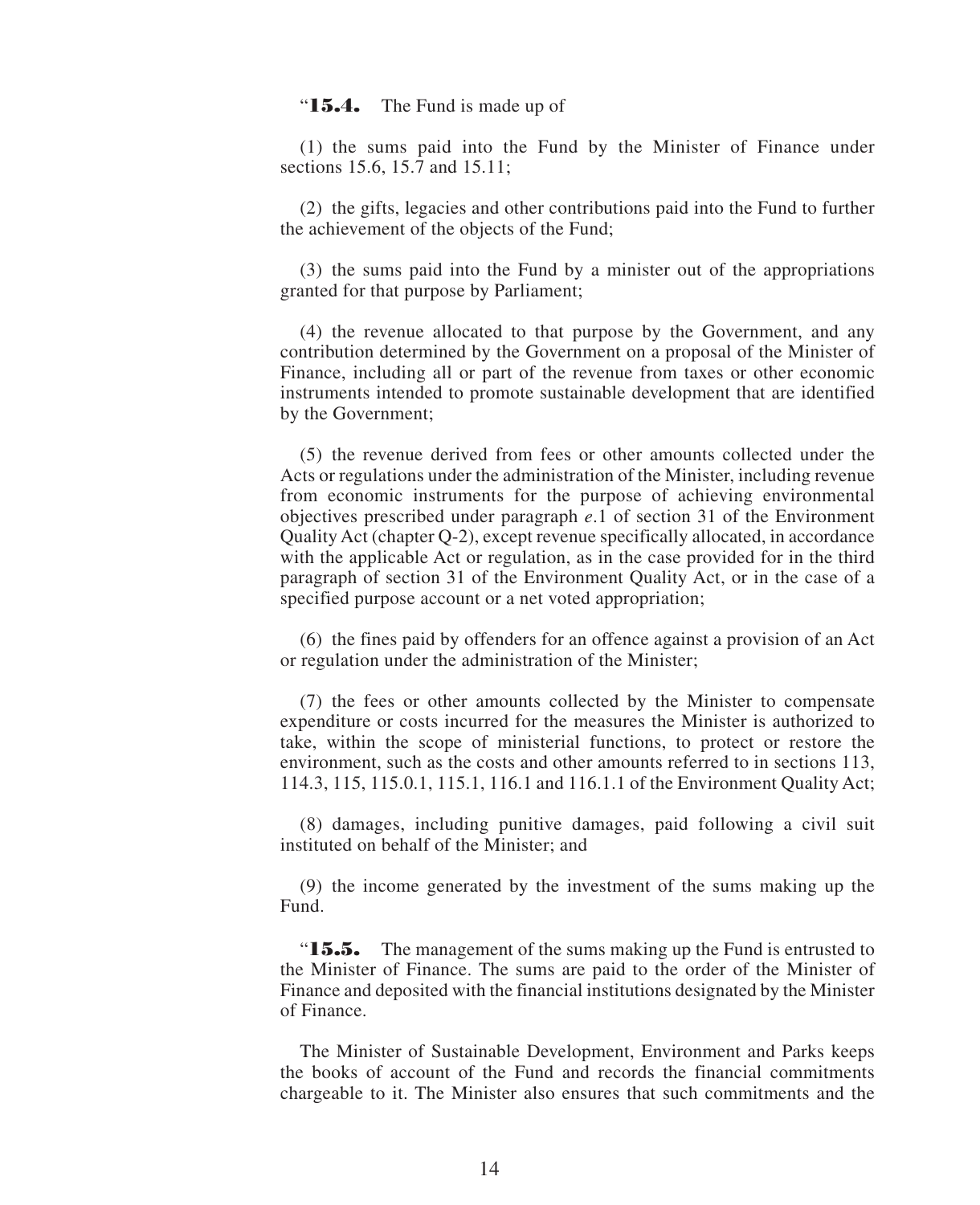#### "**15.4.** The Fund is made up of

(1) the sums paid into the Fund by the Minister of Finance under sections 15.6, 15.7 and 15.11;

(2) the gifts, legacies and other contributions paid into the Fund to further the achievement of the objects of the Fund;

(3) the sums paid into the Fund by a minister out of the appropriations granted for that purpose by Parliament;

(4) the revenue allocated to that purpose by the Government, and any contribution determined by the Government on a proposal of the Minister of Finance, including all or part of the revenue from taxes or other economic instruments intended to promote sustainable development that are identified by the Government;

(5) the revenue derived from fees or other amounts collected under the Acts or regulations under the administration of the Minister, including revenue from economic instruments for the purpose of achieving environmental objectives prescribed under paragraph *e*.1 of section 31 of the Environment Quality Act (chapter Q-2), except revenue specifically allocated, in accordance with the applicable Act or regulation, as in the case provided for in the third paragraph of section 31 of the Environment Quality Act, or in the case of a specified purpose account or a net voted appropriation;

(6) the fines paid by offenders for an offence against a provision of an Act or regulation under the administration of the Minister;

(7) the fees or other amounts collected by the Minister to compensate expenditure or costs incurred for the measures the Minister is authorized to take, within the scope of ministerial functions, to protect or restore the environment, such as the costs and other amounts referred to in sections 113, 114.3, 115, 115.0.1, 115.1, 116.1 and 116.1.1 of the Environment Quality Act;

(8) damages, including punitive damages, paid following a civil suit instituted on behalf of the Minister; and

(9) the income generated by the investment of the sums making up the Fund.

"**15.5.** The management of the sums making up the Fund is entrusted to the Minister of Finance. The sums are paid to the order of the Minister of Finance and deposited with the financial institutions designated by the Minister of Finance.

The Minister of Sustainable Development, Environment and Parks keeps the books of account of the Fund and records the financial commitments chargeable to it. The Minister also ensures that such commitments and the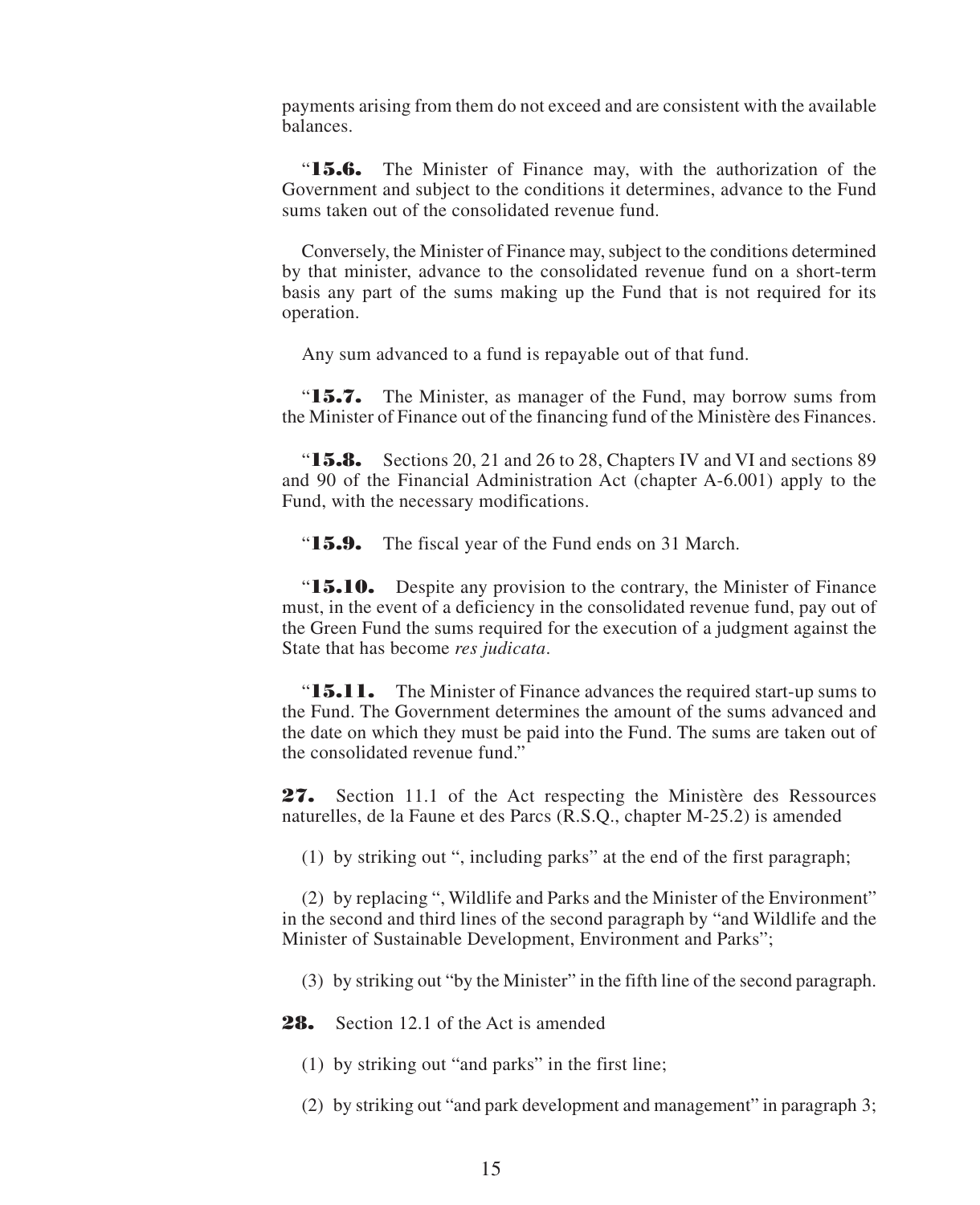payments arising from them do not exceed and are consistent with the available balances.

"**15.6.** The Minister of Finance may, with the authorization of the Government and subject to the conditions it determines, advance to the Fund sums taken out of the consolidated revenue fund.

Conversely, the Minister of Finance may, subject to the conditions determined by that minister, advance to the consolidated revenue fund on a short-term basis any part of the sums making up the Fund that is not required for its operation.

Any sum advanced to a fund is repayable out of that fund.

"**15.7.** The Minister, as manager of the Fund, may borrow sums from the Minister of Finance out of the financing fund of the Ministère des Finances.

"**15.8.** Sections 20, 21 and 26 to 28, Chapters IV and VI and sections 89 and 90 of the Financial Administration Act (chapter A-6.001) apply to the Fund, with the necessary modifications.

"**15.9.** The fiscal year of the Fund ends on 31 March.

"**15.10.** Despite any provision to the contrary, the Minister of Finance must, in the event of a deficiency in the consolidated revenue fund, pay out of the Green Fund the sums required for the execution of a judgment against the State that has become *res judicata*.

"**15.11.** The Minister of Finance advances the required start-up sums to the Fund. The Government determines the amount of the sums advanced and the date on which they must be paid into the Fund. The sums are taken out of the consolidated revenue fund."

**27.** Section 11.1 of the Act respecting the Ministère des Ressources naturelles, de la Faune et des Parcs (R.S.Q., chapter M-25.2) is amended

(1) by striking out ", including parks" at the end of the first paragraph;

(2) by replacing ", Wildlife and Parks and the Minister of the Environment" in the second and third lines of the second paragraph by "and Wildlife and the Minister of Sustainable Development, Environment and Parks";

(3) by striking out "by the Minister" in the fifth line of the second paragraph.

**28.** Section 12.1 of the Act is amended

(1) by striking out "and parks" in the first line;

(2) by striking out "and park development and management" in paragraph 3;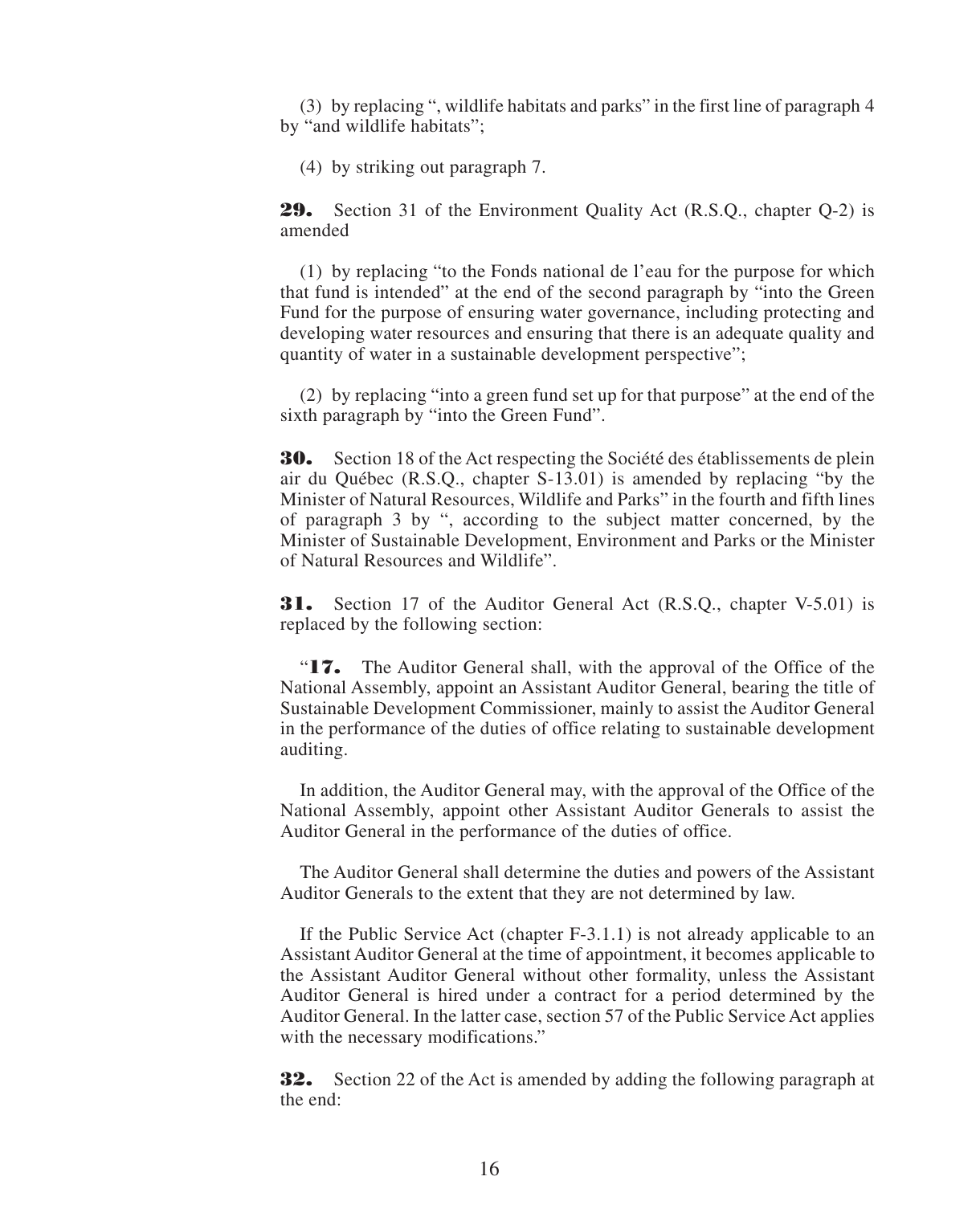(3) by replacing ", wildlife habitats and parks" in the first line of paragraph 4 by "and wildlife habitats";

(4) by striking out paragraph 7.

**29.** Section 31 of the Environment Quality Act (R.S.Q., chapter Q-2) is amended

(1) by replacing "to the Fonds national de l'eau for the purpose for which that fund is intended" at the end of the second paragraph by "into the Green Fund for the purpose of ensuring water governance, including protecting and developing water resources and ensuring that there is an adequate quality and quantity of water in a sustainable development perspective";

(2) by replacing "into a green fund set up for that purpose" at the end of the sixth paragraph by "into the Green Fund".

**30.** Section 18 of the Act respecting the Société des établissements de plein air du Québec (R.S.Q., chapter S-13.01) is amended by replacing "by the Minister of Natural Resources, Wildlife and Parks" in the fourth and fifth lines of paragraph 3 by ", according to the subject matter concerned, by the Minister of Sustainable Development, Environment and Parks or the Minister of Natural Resources and Wildlife".

**31.** Section 17 of the Auditor General Act (R.S.Q., chapter V-5.01) is replaced by the following section:

"**17.** The Auditor General shall, with the approval of the Office of the National Assembly, appoint an Assistant Auditor General, bearing the title of Sustainable Development Commissioner, mainly to assist the Auditor General in the performance of the duties of office relating to sustainable development auditing.

In addition, the Auditor General may, with the approval of the Office of the National Assembly, appoint other Assistant Auditor Generals to assist the Auditor General in the performance of the duties of office.

The Auditor General shall determine the duties and powers of the Assistant Auditor Generals to the extent that they are not determined by law.

If the Public Service Act (chapter F-3.1.1) is not already applicable to an Assistant Auditor General at the time of appointment, it becomes applicable to the Assistant Auditor General without other formality, unless the Assistant Auditor General is hired under a contract for a period determined by the Auditor General. In the latter case, section 57 of the Public Service Act applies with the necessary modifications."

**32.** Section 22 of the Act is amended by adding the following paragraph at the end: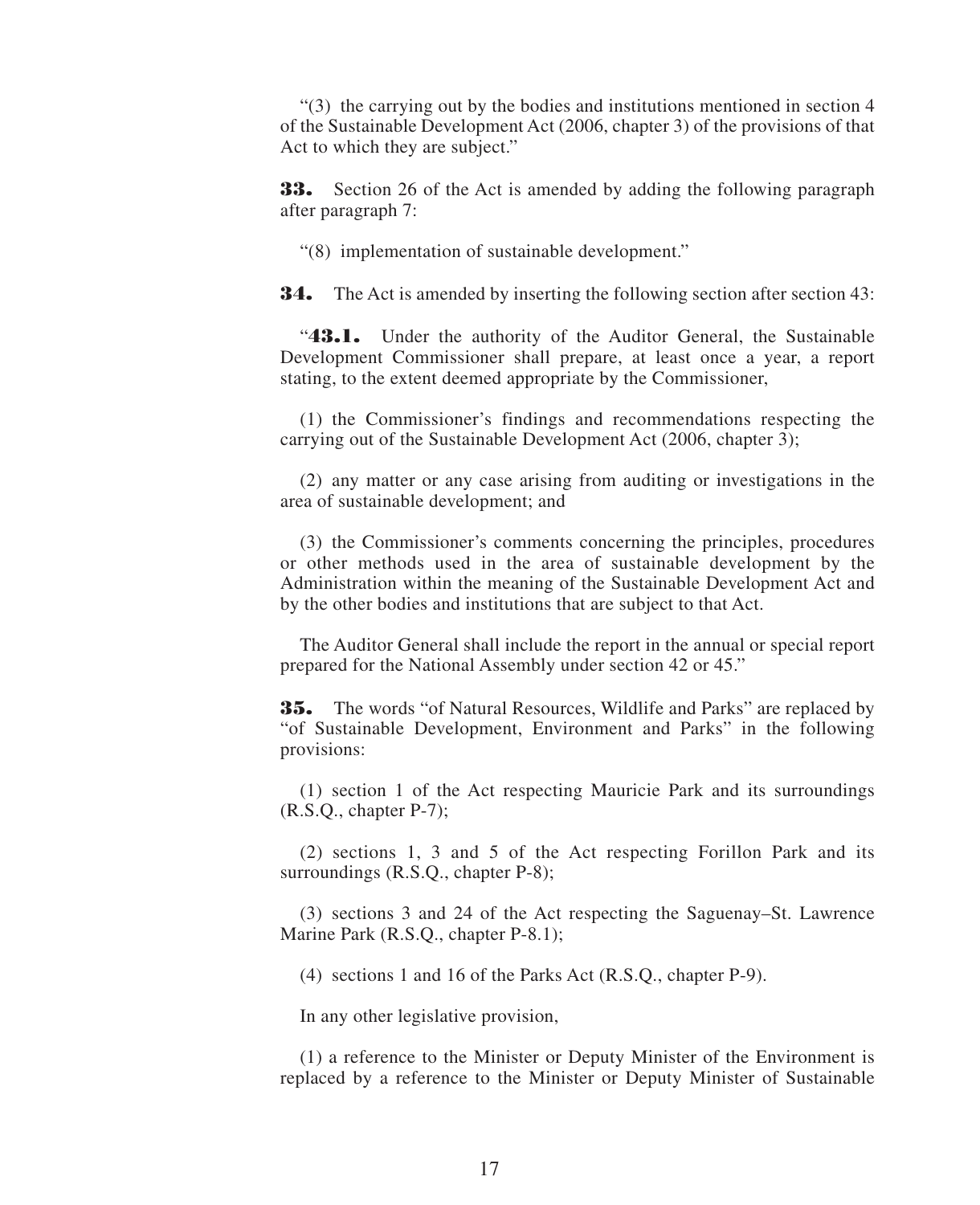"(3) the carrying out by the bodies and institutions mentioned in section 4 of the Sustainable Development Act (2006, chapter 3) of the provisions of that Act to which they are subject."

**33.** Section 26 of the Act is amended by adding the following paragraph after paragraph 7:

"(8) implementation of sustainable development."

**34.** The Act is amended by inserting the following section after section 43:

"**43.1.** Under the authority of the Auditor General, the Sustainable Development Commissioner shall prepare, at least once a year, a report stating, to the extent deemed appropriate by the Commissioner,

(1) the Commissioner's findings and recommendations respecting the carrying out of the Sustainable Development Act (2006, chapter 3);

(2) any matter or any case arising from auditing or investigations in the area of sustainable development; and

(3) the Commissioner's comments concerning the principles, procedures or other methods used in the area of sustainable development by the Administration within the meaning of the Sustainable Development Act and by the other bodies and institutions that are subject to that Act.

The Auditor General shall include the report in the annual or special report prepared for the National Assembly under section 42 or 45."

**35.** The words "of Natural Resources, Wildlife and Parks" are replaced by "of Sustainable Development, Environment and Parks" in the following provisions:

(1) section 1 of the Act respecting Mauricie Park and its surroundings (R.S.Q., chapter P-7);

(2) sections 1, 3 and 5 of the Act respecting Forillon Park and its surroundings (R.S.Q., chapter P-8);

(3) sections 3 and 24 of the Act respecting the Saguenay–St. Lawrence Marine Park (R.S.Q., chapter P-8.1);

(4) sections 1 and 16 of the Parks Act (R.S.Q., chapter P-9).

In any other legislative provision,

(1) a reference to the Minister or Deputy Minister of the Environment is replaced by a reference to the Minister or Deputy Minister of Sustainable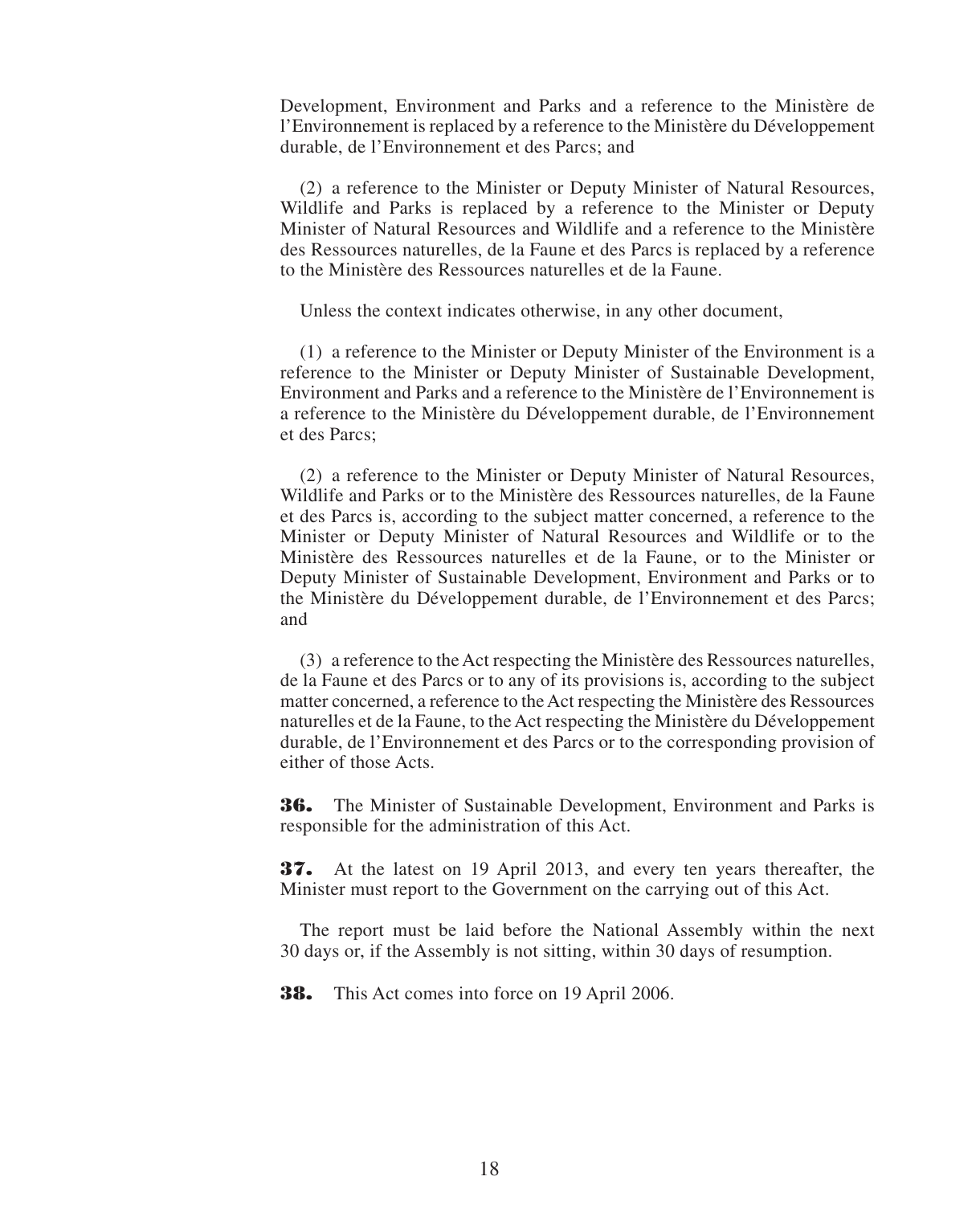Development, Environment and Parks and a reference to the Ministère de l'Environnement is replaced by a reference to the Ministère du Développement durable, de l'Environnement et des Parcs; and

(2) a reference to the Minister or Deputy Minister of Natural Resources, Wildlife and Parks is replaced by a reference to the Minister or Deputy Minister of Natural Resources and Wildlife and a reference to the Ministère des Ressources naturelles, de la Faune et des Parcs is replaced by a reference to the Ministère des Ressources naturelles et de la Faune.

Unless the context indicates otherwise, in any other document,

(1) a reference to the Minister or Deputy Minister of the Environment is a reference to the Minister or Deputy Minister of Sustainable Development, Environment and Parks and a reference to the Ministère de l'Environnement is a reference to the Ministère du Développement durable, de l'Environnement et des Parcs;

(2) a reference to the Minister or Deputy Minister of Natural Resources, Wildlife and Parks or to the Ministère des Ressources naturelles, de la Faune et des Parcs is, according to the subject matter concerned, a reference to the Minister or Deputy Minister of Natural Resources and Wildlife or to the Ministère des Ressources naturelles et de la Faune, or to the Minister or Deputy Minister of Sustainable Development, Environment and Parks or to the Ministère du Développement durable, de l'Environnement et des Parcs; and

(3) a reference to the Act respecting the Ministère des Ressources naturelles, de la Faune et des Parcs or to any of its provisions is, according to the subject matter concerned, a reference to the Act respecting the Ministère des Ressources naturelles et de la Faune, to the Act respecting the Ministère du Développement durable, de l'Environnement et des Parcs or to the corresponding provision of either of those Acts.

**36.** The Minister of Sustainable Development, Environment and Parks is responsible for the administration of this Act.

**37.** At the latest on 19 April 2013, and every ten years thereafter, the Minister must report to the Government on the carrying out of this Act.

The report must be laid before the National Assembly within the next 30 days or, if the Assembly is not sitting, within 30 days of resumption.

**38.** This Act comes into force on 19 April 2006.